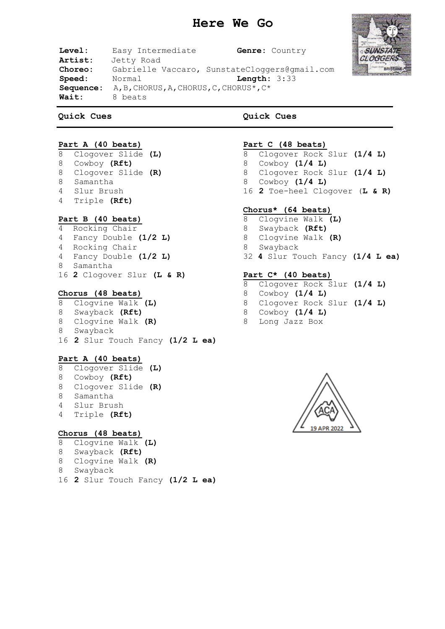# **Here We Go**



**Level:** Easy Intermediate **Genre:** Country **Artist:** Jetty Road **Choreo:** Gabrielle Vaccaro, SunstateCloggers@gmail.com<br> **Speed:** Normal **Length:** 3:33 **Speed:** Normal **Sequence:** A,B,CHORUS,A,CHORUS,C,CHORUS\*,C\* **Wait:** 8 beats

#### **Quick Cues**

**Quick Cues**

# **Part A (40 beats)**

- Clogover Slide **(L)** Cowboy **(Rft)**
- Clogover Slide **(R)**
- Samantha
- Slur Brush
- Triple **(Rft)**

## **Part B (40 beats)**

- 4 Rocking Chair
- 4 Fancy Double **(1/2 L)**
- 4 Rocking Chair 4 Fancy Double **(1/2 L)**
- 8 Samantha
- **2** Clogover Slur **(L & R)**

#### **Chorus (48 beats)**

 Clogvine Walk **(L)** Swayback **(Rft)** Clogvine Walk **(R)** Swayback **2** Slur Touch Fancy **(1/2 L ea)**

#### **Part A (40 beats)**

- Clogover Slide **(L)**
- Cowboy **(Rft)**
- Clogover Slide **(R)**
- Samantha Slur Brush
- Triple **(Rft)**
- 

### **Chorus (48 beats)**

- Clogvine Walk **(L)**
- Swayback **(Rft)**
- Clogvine Walk **(R)**
- Swayback
- **2** Slur Touch Fancy **(1/2 L ea)**

# **Part C (48 beats)**

- Clogover Rock Slur **(1/4 L)**
- Cowboy **(1/4 L)**
- Clogover Rock Slur **(1/4 L)**
- Cowboy **(1/4 L)**
- **2** Toe-heel Clogover (**L & R)**

### **Chorus\* (64 beats)**

- Clogvine Walk **(L)**
- Swayback **(Rft)**
- Clogvine Walk **(R)**
- Swayback
- **4** Slur Touch Fancy **(1/4 L ea)**

# **Part C\* (40 beats)**

- Clogover Rock Slur **(1/4 L)**
- Cowboy **(1/4 L)**
- Clogover Rock Slur **(1/4 L)**
- Cowboy **(1/4 L)**
- Long Jazz Box